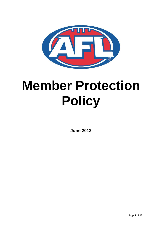

# **Member Protection Policy**

**June 2013**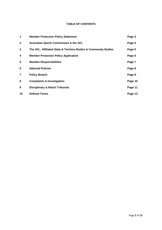## **TABLE OF CONTENTS**

| 1            | <b>Member Protection Policy Statement</b>                       | Page 3  |
|--------------|-----------------------------------------------------------------|---------|
| $\mathbf{2}$ | <b>Australian Sports Commission &amp; the AFL</b>               | Page 4  |
| 3            | The AFL, Affiliated State & Territory Bodies & Community Bodies | Page 5  |
| 4            | <b>Member Protection Policy Application</b>                     | Page 6  |
| 5            | <b>Member Responsibilities</b>                                  | Page 7  |
| 6            | <b>National Policies</b>                                        | Page 8  |
| 7            | <b>Policy Breach</b>                                            | Page 9  |
| 8            | <b>Complaints &amp; Investigation</b>                           | Page 10 |
| 9            | <b>Disciplinary &amp; Match Tribunals</b>                       | Page 11 |
| 10           | <b>Defined Terms</b>                                            | Page 13 |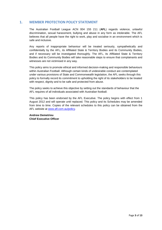# **1. MEMBER PROTECTION POLICY STATEMENT**

The Australian Football League ACN 004 155 211 (**AFL**) regards violence, unlawful discrimination, sexual harassment, bullying and abuse in any form as intolerable. The AFL believes that all people have the right to work, play and socialise in an environment which is safe and inclusive.

Any reports of inappropriate behaviour will be treated seriously, sympathetically and confidentially by the AFL, its Affiliated State & Territory Bodies and its Community Bodies, and if necessary will be investigated thoroughly. The AFL, its Affiliated State & Territory Bodies and its Community Bodies will take reasonable steps to ensure that complainants and witnesses are not victimised in any way.

This policy aims to promote ethical and informed decision-making and responsible behaviours within Australian Football. Although certain kinds of undesirable conduct are contemplated under various provisions of State and Commonwealth legislation, the AFL seeks through this policy to formally record its commitment to upholding the right of its stakeholders to be treated with respect, dignity and to be safe and protected from abuse.

The policy seeks to achieve this objective by setting out the standards of behaviour that the AFL requires of all individuals associated with Australian football.

This policy has been endorsed by the AFL Executive. The policy begins with effect from 1 August 2012 and will operate until replaced. This policy and its Schedules may be amended from time to time. Copies of the relevant schedules to this policy can be obtained from the AFL website at [www.afl.com.au/policy.](http://www.afl.com.au/policy)

**Andrew Demetriou Chief Executive Officer**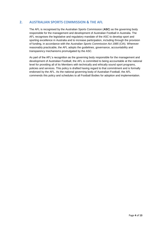# **2. AUSTRALIAN SPORTS COMMISSION & THE AFL**

The AFL is recognised by the Australian Sports Commission (**ASC**) as the governing body responsible for the management and development of Australian Football in Australia. The AFL recognises the legislative and regulatory mandate of the ASC to develop sport and sporting excellence in Australia and to increase participation, including through the provision of funding, in accordance with the *Australian Sports Commission Act 1985* (Cth). Wherever reasonably practicable, the AFL adopts the guidelines, governance, accountability and transparency mechanisms promulgated by the ASC.

As part of the AFL's recognition as the governing body responsible for the management and development of Australian Football, the AFL is committed to being accountable at the national level for providing all of its Members with technically and ethically sound sport programs, policies and services. This policy is drafted having regard to that commitment and is formally endorsed by the AFL. As the national governing body of Australian Football, the AFL commends this policy and schedules to all Football Bodies for adoption and implementation.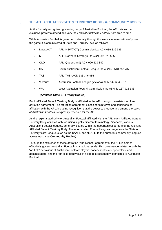# **3. THE AFL, AFFILIATED STATE & TERRITORY BODIES & COMMUNITY BODIES**

As the formally recognised governing body of Australian Football, the AFL retains the exclusive power to amend and vary the *Laws of Australian Football* from time to time.

While Australian Football is governed nationally through this exclusive reservation of power, the game it is administered at State and Territory level as follows:

- NSW/ACT: AFL (NSW/ACT) Commission Ltd ACN 086 839 385
- NT: AFL (Northern Territory) Ltd ACN 097 620 525
- QLD: AFL (Queensland) ACN 090 629 342
- SA: South Australian Football League Inc ABN 59 518 757 737
- TAS AFL (TAS) ACN 135 346 986
- Victoria: Australian Football League (Victoria) ACN 147 664 579;
- WA: West Australian Football Commission Inc ABN 51 167 923 136

#### (**Affiliated State & Territory Bodies)**

Each Affiliated State & Territory Body is affiliated to the AFL through the existence of an affiliation agreement. The affiliation agreement places certain terms and conditions on affiliation with the AFL, including recognition that the power to produce and amend the *Laws of Australian Football* is expressly reserved for the AFL.

As the regional authority for Australian Football affiliated with the AFL, each Affiliated State & Territory Body affiliates with (or, using slightly different terminology, "licences") various Australian Football leagues, generally located within the geographical borders of the relevant Affiliated State & Territory Body. These Australian Football leagues range from the State or Territory "elite" league, such as the SANFL and NEAFL, to the numerous community leagues across Australia (**Community Bodies**).

Through the existence of these affiliation (and licence) agreements, the AFL is able to effectively govern Australian Football on a national scale. This governance relates to both the "on-field" behaviour of Australian Football: players; coaches; officials; spectators; and administrators, and the "off-field" behaviour of all people reasonably connected to Australian Football.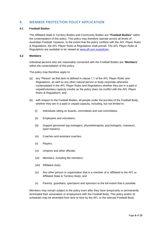# **4. MEMBER PROTECTION POLICY APPLICATION**

## **4.1 Football Bodies**

The Affiliated State & Territory Bodies and Community Bodies are **"Football Bodies"** within the contemplation of this policy. This policy may therefore operate across all levels of Australian Football. However, to the extent that the policy conflicts with the *AFL Player Rules & Regulations*, the *AFL Player Rules & Regulations* shall prevail. The *AFL Player Rules & Regulations* are available to be viewed at [www.afl.com.au/policies.](http://www.afl.com.au/policies)

## **4.2 Members**

Individual persons who are reasonably connected with the Football Bodies are "**Members**" within the contemplation of this policy

The policy may therefore apply to:

- (a) any "Person" as that term is defined in clause 1.1 of the *AFL Player Rules and Regulations*, as well as any other natural person or body corporate otherwise contemplated in the *AFL Player Rules and Regulations* whether they are in a paid or unpaid/voluntary capacity insofar as the policy does not conflict with the *AFL Player Rules & Regulations*; and
- (b) with respect to the Football Bodies, all people under the purview of the Football Body, whether they are in a paid or unpaid capacity, including, but not limited to:
	- (i) Individuals sitting on boards, committees and sub-committees;
	- (ii) Employees and volunteers;
	- (iii) Support personnel (eg managers, physiotherapists, psychologists, masseurs, sport trainers);
	- (iv) Coaches and assistant coaches;
	- (v) Players;
	- (vi) Umpires and other officials;
	- (vii) Members, including life members;
	- (viii) Affiliated clubs;
	- (ix) Any other person or organisation that is a member of or affiliated to the AFL or Affiliated State & Territory Body; and
	- (x) Parents, guardians, spectators and sponsors to the full extent that is possible.

Members may remain subject to the policy even after they have temporarily or permanently terminated their association or employment with the Football Body. This policy and/or its schedules may be amended from time to time by the AFL or the relevant Football Body.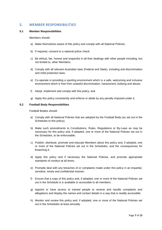# **5. MEMBER RESPONSIBILITIES**

## **5.1 Member Responsibilities**

Members should:

- a) Make themselves aware of this policy and comply with all National Policies;
- b) If required, consent to a national police check
- c) Be ethical, fair, honest and respectful in all their dealings with other people including, but not limited to, other Members;
- d) Comply with all relevant Australian laws (Federal and State), including anti-discrimination and child protection laws;
- e) Co-operate in providing a sporting environment which is a safe, welcoming and inclusive environment which is free from unlawful discrimination, harassment, bullying and abuse;
- f) Adopt, implement and comply with this policy; and
- g) Apply this policy consistently and enforce or abide by any penalty imposed under it.

## **5.2 Football Body Responsibilities**

Football Bodies should:

- a) Comply with all National Policies that are adopted by the Football Body (as set out in the Schedules to this policy);
- b) Make such amendments to Constitutions, Rules, Regulations or By-Laws as may be necessary for this policy and, if adopted, one or more of the National Policies set out in the Schedules, to be enforceable;
- c) Publish, distribute, promote and educate Members about this policy and, if adopted, one or more of the National Policies set out in the Schedules, and the consequences for breaching it;
- d) Apply this policy and if necessary the National Policies, and promote appropriate standards of conduct at all times;
- e) Promptly deal with any breaches of or complaints made under this policy in an impartial, sensitive, timely and confidential manner;
- f) Ensure that a copy of this policy and, if adopted, one or more of the National Policies set out in the Schedule is is available or accessible to all members;
- g) Appoint or have access to trained people to receive and handle complaints and allegations and display the names and contact details in a way that is readily accessible;
- h) Monitor and review this policy and, if adopted, one or more of the National Policies set out in the Schedules at least annually.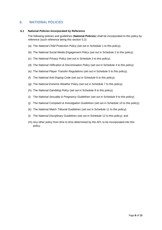# **6. NATIONAL POLICIES**

## **6.1 National Policies Incorporated by Reference**

The following policies and guidelines (**National Policies**) shall be incorporated to this policy by reference (such reference being this section 5.2):

- (a) The *National Child Protection Policy* (set out in Schedule 1 to this policy);
- (b) The *National Social Media Engagement Policy* (set out in Schedule 2 to this policy);
- (c) The *National Privacy Policy* (set out in Schedule 3 to this policy);
- (d) The *National Vilification & Discrimination Policy* (set out in Schedule 4 to this policy)
- (e) The *National Player Transfer Regulations* (set out in Schedule 5 to this policy);
- (f) The *National Anti-Doping Code* (set out in Schedule 6 to this policy);
- (g) The *National Extreme Weather* Policy (set out in Schedule 7 to this policy);
- (h) The *National Gambling Policy* (set out in Schedule 8 to this policy);
- (i) The *National Sexuality & Pregnancy Guidelines* (set out in Schedule 9 to this policy);
- (j) The *National Complaint & Investigation Guidelines* (set out in Schedule 10 to this policy);
- (k) The *National Match Tribunal Guidelines* (set out in Schedule 11 to this policy);
- (l) The *National Disciplinary Guidelines* (set out in Schedule 12 to this policy); and
- (m) Any other policy from time to time determined by the AFL to be incorporated into this policy.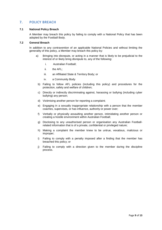# **7. POLICY BREACH**

## **7.1 National Policy Breach**

A Member may breach this policy by failing to comply with a National Policy that has been adopted by the Football Body.

## **7.2 General Breach**

In addition to any contravention of an applicable National Policies and without limiting the generality of this policy, a Member may breach this policy by:

- a) Bringing into disrepute, or acting in a manner that is likely to be prejudicial to the interest of or likely bring disrepute to, any of the following:
	- i. Australian Football;
	- ii. the AFL;
	- iii. an Affiliated State & Territory Body; or
	- iv. a Community Body
	- b) Failing to follow AFL policies (including this policy) and procedures for the protection, safety and welfare of children;
	- c) Directly or indirectly discriminating against, harassing or bullying (including cyber bullying) any person;
	- d) Victimising another person for reporting a complaint;
	- e) Engaging in a sexually inappropriate relationship with a person that the member coaches, supervises, or has influence, authority or power over;
	- f) Verbally or physically assaulting another person, intimidating another person or creating a hostile environment within Australian Football;
	- g) Disclosing to any unauthorised person or organisation any Australian Footballrelated information that is of a private, confidential or privileged nature;
	- h) Making a complaint the member knew to be untrue, vexatious, malicious or improper;
	- i) Failing to comply with a penalty imposed after a finding that the member has breached this policy; or
	- j) Failing to comply with a direction given to the member during the discipline process.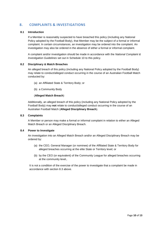# **8. COMPLAINTS & INVESTIGATIONS**

## **8.1 Introduction**

If a Member is reasonably suspected to have breached this policy (including any National Policy adopted by the Football Body), that Member may be the subject of a formal or informal complaint. In certain circumstances, an investigation may be ordered into the complaint. An investigation may also be ordered in the absence of either a formal or informal complaint.

A complaint and/or investigation should be made in accordance with the *National Complaint & Investigation Guidelines* set out in Schedule 10 to this policy.

## **8.2 Disciplinary & Match Breaches**

An alleged breach of this policy (including any National Policy adopted by the Football Body) may relate to conduct/alleged conduct occurring in the course of an Australian Football Match conducted by:

- (a) an Affiliated State & Territory Body; or
- (b) a Community Body

## (**Alleged Match Breach**)

Additionally, an alleged breach of this policy (including any National Policy adopted by the Football Body) may **not** relate to conduct/alleged conduct occurring in the course of an Australian Football Match (**Alleged Disciplinary Breach**).

## **8.3 Complaints**

A Member or person may make a formal or informal complaint in relation to either an Alleged Match Breach or an Alleged Disciplinary Breach.

## **8.4 Power to Investigate**

An investigation into an Alleged Match Breach and/or an Alleged Disciplinary Breach may be ordered by:

- (a) the CEO, General Manager (or nominee) of the Affiliated State & Territory Body for alleged breaches occurring at the elite State or Territory level; or
- (b) by the CEO (or equivalent) of the Community League for alleged breaches occurring at the community level,.

It is not a condition of the exercise of the power to investigate that a complaint be made in accordance with section 8.3 above.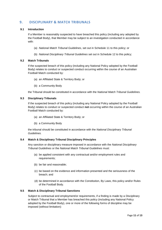# **9. DISCIPLINARY & MATCH TRIBUNALS**

## **9.1 Introduction**

If a Member is reasonably suspected to have breached this policy (including any adopted by the Football Body), that Member may be subject to an investigation conducted in accordance with:

- (a) *National Match Tribunal Guidelines*, set out in Schedule 11 to this policy; or
- (b) *National Disciplinary Tribunal Guidelines* set out in Schedule 12 to this policy;

## **9.2 Match Tribunals**

If the suspected breach of this policy (including any National Policy adopted by the Football Body) relates to conduct or suspected conduct occurring within the course of an Australian Football Match conducted by:

- (a) an Affiliated State & Territory Body; or
- (b) a Community Body

the Tribunal should be constituted in accordance with the *National Match Tribunal Guidelines.*

## **9.3 Disciplinary Tribunals**

If the suspected breach of this policy (including any National Policy adopted by the Football Body) relates to conduct or suspected conduct **not** occurring within the course of an Australian Football Match conducted by:

- (a) an Affiliated State & Territory Body; or
- (b) a Community Body

the tribunal should be constituted in accordance with the *National Disciplinary Tribunal Guidelines.*

## **9.4 Match & Disciplinary Tribunal Disciplinary Principles**

Any sanction or disciplinary measure imposed in accordance with the *National Disciplinary Tribunal Guidelines* or the *National Match Tribunal Guidelines* must:

- (a) be applied consistent with any contractual and/or employment rules and requirements;
- (b) be fair and reasonable;
- (c) be based on the evidence and information presented and the seriousness of the breach; and
- (d) be determined in accordance with the Constitution, By Laws, this policy and/or Rules of the Football Body.

## **9.5 Match & Disciplinary Tribunal Sanctions**

Subject to contractual and employment/or requirements, if a finding is made by a Disciplinary or Match Tribunal that a Member has breached this policy (including any National Policy adopted by the Football Body), one or more of the following forms of discipline may be imposed (without limitation):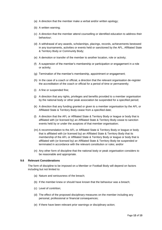- (a) A direction that the member make a verbal and/or written apology;
- (b) A written warning;
- (c) A direction that the member attend counselling or identified education to address their behaviour;
- (d) A withdrawal of any awards, scholarships, placings, records, achievements bestowed in any tournaments, activities or events held or sanctioned by the AFL, Affiliated State & Territory Body or Community Body;
- (e) A demotion or transfer of the member to another location, role or activity;
- (f) A suspension of the member's membership or participation or engagement in a role or activity;
- (g) Termination of the member's membership, appointment or engagement;
- (h) In the case of a coach or official, a direction that the relevant organisation de-register the accreditation of the coach or official for a period of time or permanently;
- (i) A fine or suspended fine;
- (j) A direction that any rights, privileges and benefits provided to a member organisation by the national body or other peak association be suspended for a specified period;
- (k) A direction that any funding granted or given to a member organisation by the AFL or Affiliated State & Territory Body cease from a specified date;
- (l) A direction that the AFL or Affiliated State & Territory Body or league or body that is affiliated with (or licensed by) an Affiliated State & Territory Body cease to sanction events held by or under the auspices of that member organisation;
- (m) A recommendation to the AFL or Affiliated State & Territory Body or league or body that is affiliated with (or licensed by) an Affiliated State & Territory Body that its membership of the AFL or Affiliated State & Territory Body or league or body that is affiliated with (or licensed by) an Affiliated State & Territory Body be suspended or terminated in accordance with the relevant constitution or rules; and/or
- (n) Any other form of discipline that the national body or peak organisation considers to be reasonable and appropriate.

## **9.6 Relevant Considerations**

The form of discipline to be imposed on a Member or Football Body will depend on factors including but not limited to:

- (a) Nature and seriousness of the breach;
- (b) If the member knew or should have known that the behaviour was a breach;
- (c) Level of contrition;
- (d) The effect of the proposed disciplinary measures on the member including any personal, professional or financial consequences;
- (e) If there have been relevant prior warnings or disciplinary action;